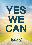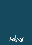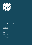

For more information please contact Katerina Tzagaroulaki at the American-Hellenic Chamber of Commerce

E: k.tzagaroulaki@amcham.gr

Athens, March 2012 CHAMBER.PRESS



AMERICAN-HELLENIC CHAMBER OF COMMERCE

Politia Business Center 109-111 Messoghion Avenue, GR-115 26 Athens, Greece Τ: +30 210 699 3559, F: +30 210 698 5686, +30 210 698 5687 E: info@amcham.gr W: www.amcham.gr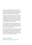Innovation, entrepreneurship, and new business creation lie at the heart of a new Greece. Growth, employment, and sustainable economic progress require a dynamic entrepreneurial ecosystem driven by new ideas, new business models, and new mindsets.

The Make Innovation Work business plan competition is designed to help bring innovative ideas to market. Equally important, it is designed to spur the imagination, foster the notion that the best way forward is one that is self-directed, and provide the tools and assistance that people need to enter a challenging, rewarding, and deeply satisfying career path.

Greece is ready for change. Greece needs the best and brightest minds of today's generation to build effective institutions, a meritocratic society, and a business culture that thrives on synergies, healthy competition, and win-win partnerships.

The American-Hellenic Chamber of Commerce salutes every entrant, more than 270, to the Make Innovation Work competition. We encourage all entrepreneurs to follow their dreams with commitment, drive, and ambition and the knowledge that persistence is often the only divider between failure and success.

## Follow your dreams. Build a new Greece. Yes you can.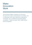# Make Innovation **Work**

The American-Hellenic Chamber of Commerce, through its Innovation and Education Committee, and in cooperation with major Greek and multinational companies, has completed its pioneering global competition, "Make Innovation Work: Make Greece More Competitive."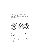The competition was designed to select and support the most integrated, innovative business plans in four sectors: Alternative Agriculture, Green Energy, Transportation–Shipping, and Tourism.

Make Innovation Work was exceptionally successful; 273 business plans were submitted by individuals and legal entities from Greece and from the global Greek Diaspora.

The most comprehensive proposals, listed in these pages, have been selected and recognized by the evaluation committee, and they clearly demonstrate that Greece has significant and promising reserves of innovative and entrepreneurial talent which, with the proper support, can assist in the development of our country.

This competition is particularly meaningful as it was conducted in a difficult period for the Greek economy, a time when effective and practical ways to stimulate entrepreneurship and competitiveness are being sought.

The important contribution by major Greek and multinational companies to this competition is a great tribute to the American-Hellenic Chamber of Commerce and signals their tangible contribution to the national goal of encouraging entrepreneurship and competitiveness.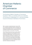## American-Hellenic **Chamber** of Commerce

The American-Hellenic Chamber of Commerce, founded in 1932, is a member of the U.S. Chamber of Commerce in Washington D.C. and the European Council of American Chambers of Commerce.

With a corporate membership today of some 1.000 U.S. companies operating in Greece, and Greek companies doing business with the U.S., the Chamber encourages and facilitates trade, investment and professional partnerships on both sides of the Atlantic.

The Chamber hosts and sponsors a wide variety of events, including The Hour of the Greek Economy Conference, Healthworld, the Conference on Corporate Social Responsibility, The Corporate Governance Conference, the Taxation Conference, and others. The Chamber also hosts business delegations to and from the United States and Southeast Europe and organizes the U.S. Pavilions at international exhibitions, such as the Thessaloniki International Fair, Posidonia and Defensys.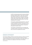In 2010, the Chamber launched the American-Hellenic Enterprise Initiative (ΑΗΕΙ), a major effort to develop and implement Greece-U.S. actions that further binational trade, partnerships, investment, technology transfer, green energy solutions, R&D, and entrepreneurship through the combined efforts of more than 40 Greek and U.S. Partners.

The Chamber publishes Business Partners, a bimonthly magazine; Business Partners Online; an annual directory, newsletters, brochures, and bulletins, as well as exhibition and conference guides in conjunction with specific Chamber events.

The Chamber is represented by 20 committees that coordinate activities, study policies, and develop positions in their area of expertise and concern.

## MISSION STATEMENT

The American-Hellenic Chamber of Commerce strives for continuous improvement of American-Hellenic commercial and financial relations through increased membership and through the organization of top quality events, exhibitions, fora, seminars and congresses on both sides of the Atlantic. www.amcham.gr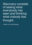Discovery consists of seeing what everybody has seen and thinking what nobody has thought.

—Albert von Szent-Gyorgy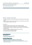### Electronic Device Max Grow

Team representative: Spyridon Kobokis

#### Objective - Description of Proposal

- To solve the problem of brackish and saline water in agriculture and other applications
- Based on the know-how of modern lithotripsy, to make calcareous and brackish waters suitable for irrigation of all crops

#### Innovations

- Manages unlimited amounts of water, even if extremely brackish
- Provides the farmer maximum performance, full flowering and high quality
- Removes deposits of salts from irrigation systems, pipes, even from the ground and plants roots
- Works in an entirely ecological way without producing waste
- Can be powered by a photovoltaic system
- Is a unique product in the Greek market

#### Advantages - Benefits

- Accessible to all
- No need for maintenance or supplies
- Minimal energy consumption

- Slow-uptake of innovative technologies by the general public
- Deliberate concealment of the effectiveness of the system by users
- Refusal of members of the scientific community, combined with a lack of funds, to conduct further research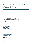## Production of Algae Biomass with High Calorific Value as an Alternative Fuel

Team representative: John Sporidis - Antoniadis

#### Objective - Description of Proposal

• Production of algae biomass as an alternative fuel

#### Innovation

• Utilization and development of low- or non-productive areas

#### Advantages - Benefits

For the Country:

- Exporting potential
- Creation of more than 5,000 jobs
- Full compliance with European Union's sustainable development strategy

#### For the Farmers:

- Environmentally and economically viable alternative cultivation
- No need for special licensing
- Long-term guaranteed income
- Easy to implement technology
- Low investment cost
- High investment return

#### For the Clients:

- Supply of biomass for industrial energy needs at a competitive cost
- No need to change existing production lines for the use of biomass

#### For the Environment:

- Zero impact on the environment
- Reduction of emissions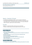## EcoOliveCleaner Method

Team representative: Fevronia Averi

#### Objective – Description of Proposal

- To address the longstanding problem of olive mill waste management
- The EcoOliveCleaner Method treats waste by separating it into solids and liquids. Solids can be re- processed and give more oil or, by simply adding salt, make olive paste. Liquids may be used as fertilizers.

#### Innovation

- Based on a mechanical method, without the use of chemicals
- To date, no similar solution has been applied anywhere in the world.

#### Advantages – Benefits

- There is no need for:
	- The use of two-phase decanters
	- The creation of new kernel processing units and dryers for drying the two-phase processed kernels
- Increases the production of pomace by 30 percent by collecting the pulp
- The olive mill operators:
	- Do not lose revenues from the sale of pomace
	- Are not burdened by transportation costs to kernel processing units
	- Save energy and fuel
	- Have an immediate reduction of waste by 40 percent

- Economic recession in Greece and abroad
- Poor legislative and regional guideline framework stifles growth potential of the method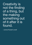Creativity is not the finding of a thing, but the making something out of it after it is found.

—James Russell Lowell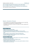## Air Conditioning/Air Processing Unit with Solid Dehumidifier and Solar and Geothermal Assistance

Team representative: Konstantinos Kapetanakis

#### Objective - Description of Proposal

- The combination of air conditioning with the simultaneous use of a solar field and a ground source heat pump, or underground waste
- The system is connected to a network of air pipes and nozzles, supplying 100 percent fresh air

#### Advantages – Benefits

- Exploits excess solar thermal energy
- Utilizes the cooling capacity of the soil or aquifer
- Drastically reduces the operating costs of heating and cooling a building
- Provides 100 percent fresh, conditioned air for rooms and results in excellent ventilation
- Sets a precedent for solar technology in cooling and heating spaces
- Combines heating and cooling by utilizing the country's natural resources
- Operates with negligible energy costs

- Primary focus in the heating and cooling market is on the selection of the operating equipment, not the design system
- Pre-existing architectural limitations in installation spaces
- Inability to directly measure the results
- A skewed market for renewable energy sources places greater emphasis on the electricity production than thermal uses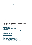## Intelligent Generation TM

Team representative: George Nassos

#### Objective – Description of Proposal

• Intelligent Generation TM (IG) is a software-based network management system that optimizes distributed power voltage and storage assets.

#### Innovation

• The intelligent software determines when to consume the energy and when to store it for later consumption.

#### Advantages - Benefits

- Achieves its forecasted economic benefits
- Hastens adoption
- Creates jobs for the installation and maintenance of the systems
- Improves grid stability and reliability
- Provides reliable access to cleaner, cheaper power
- Emits no carbon dioxide
- Reduces the power generated

- Difficulty in identifying Greek partners
- No manufacturer of solar panels in Greece
- No manufacturer of batteries in Greece
- Regulations may not support this technology
- Difficulty in finding financial support for the project
- Power Purchasing Agreements are not acceptable in Greece
- In Greece, the demand for power does not align with the generation of power. As a result, utilities must generate additional power when the demand increases.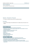## Tank Multitank

Team representative: Christofyllis Douralis

#### Objective - Description of Proposal

• To create a container product that can substitute barrels

#### Innovation

• The innovative design and durability allow for multiple uses and reuses of containers

#### Advantages – Benefits

- Increases the competitiveness of products and businesses
- Significantly reduces both the required storage space, the consumption of oil and environmental pollution
- Possibility of placing one tank within the other
- Stacking capability, high resistance
- Compact
- Easy to move
- Easy and safe cleaning
- Drainage valve and vapor valve
- Small energy footprint

- No state or private body interested in supporting innovative efforts
- Greece does not have the necessary technical infrastructure for production
- Uncooperative university research departments
- Funding from Greek financial institutions is difficult in the current climate
- Tax incentives, including three year tax exemption for profits from patents, cannot be implemented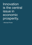Innovation is the central issue in economic prosperity.

—Michael Porter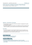## Multi-objective Intelligent Design of Sea Routes

Team representative: Panayiotis - Antonios Varelas

#### Objective - Description of Proposal

- The optimization of sea routes in line with companies' management for goods and passenger transport.
- The method suggests a course based on the reliable and real-time assessment of weather forecasts, economic data and technical information collected onboard.

#### Innovation

• The optimal integration of technological infrastructure for the collection, processing and transfer of onboard data, weather forecasting systems and intelligent algorithms to chart an optimal nautical course.

#### Advantages - Benefits

- Does not aim to simply minimize fuel costs
- Maximizes multiple business objectives

- Addressing conservative inertia
- Firms' lack of long-term planning and reluctance to invest in innovation
- A small degree of environmental sensitivity in the tourism transport industry and in the use of energy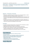## Metavallon - Intelligent Transportation Systems (ITS)

Team representative: Alexandra Choli

#### Objective – Description of Proposal

- Metavallon's operational structure consists of two fundamental pillars: a cradle of entrepreneurship and a lifelong education program in ITS.
- Metavallon brings together talented Greeks with experienced entrepreneurs and new ideas, and provides them with the fundamental resources to start their own business.
- Through its local centers for university graduates and students, Metavallon cultivates turnkey, ITS opportunities of high-impact and quality and will provide the resources to enhance the possibilities of their success.

#### Innovation

- Incubates innovative business ideas, and supports their acceleration to market
- Organizes specialized workshops and conferences
- Collaborates with research centers and international organizations
- Provides a unique mechanism to support and accelerate the growth plans of students and graduates close to their academic environments
- Addresses the professional and educational needs of the ITS market

#### Advantages – Benefits

- Enables the productive labor force to create its own future
- Prevents talent drain
- Develops a virtuous cycle of opportunity, creativity and development
- Helps saving lives by advancing intelligent transport systems
- Saves time and money and helps prevent car accidents by:
	- Reducing heavy traffic
	- Reducing fuel consumption and CO2 emissions
	- Creating friendlier and more sustainable communities

#### Disadvantage - Obstacles

• Difficulty in finding funds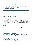## Industrial System of Real-Time Monitoring and Optimization of the Production of High-Performance Complex Parts from Carbon Fiber

Team representative: Christos Kyriazoglou

### Objective – Description of Proposal

- The production of complex parts from high-performance carbon fibers in autoclave ovens for use in airspace and aeronautics, the auto industry and high performance vehicles.
- The technology and expertise will also have a positive influence on productive processes like "liquid composite molding" as well as in renewable energy sources, transport, the food industry, the pharmaceutical industry and the construction industry.

#### Innovation

• Real-time monitoring of the degree of hardening/polymerization of the resin of composite parts via the use of dielectric sensors inside the autoclave.

#### Advantages - Benefits

- Optimizes the production process,
- Evaluates and ensures the quality of production in real time
- Reduces the time and cost of production
- Reduces the time needed for developing new products from composite materials
- Measures the natural phenomena of the production process
- In-house developed expertise and technology is not dependent on external factors
- Low technical risk

- Protection of dielectric sensors from carbon fiber
- Tests of finding higher pressure and temperature limits in which the dielectric sensors function
- The application of technology in new markets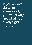If you always do what you always did, you will always get what you always got.

—Albert Einstein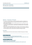## Spring Farm Grevena

Team representative: Evagelos Papalios

#### Objective – Description of Proposal

- To create a hunting-themed, multi-level business operation consisting of a year-round hotel and livestock and agricultural products of significant nutritional value and quality.
- The business is supported and complemented by agro tourist policies, which contribute to the preservation, conservation and dissemination of the Mediterranean diet.
- There are an estimated 360,000 hunters in Greece, and more than six million in Europe. However, while hunters alone could easily cover the capacity of the hotel, the business will also market itself to alternative lifestyle tourists.

#### Innovation

• Spring Grevena is the first private licensed controlled hunting area in Greece.

#### Advantages - Benefits

- Extends the tourist season beyond its typical summer barrier
- Promotes local products (agricultural and livestock) in the Greek market, with a view to exporting to Europe and Asia

- Existing facilities without capital adequacy
- Restricted access to investment capital
- Restrictive authorization procedures and transactions with the public sector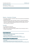## Geoland Project

Team representative: Theodoros Alexiou

#### Objective – Description of Proposal

- The creation of Geoland, a thematic museum and amusement park dedicated to the Prehistoric period
- Geoland will employ modern technologic, systems of "empirical participation," and virtual and augmented reality to entertain and educate visitors. By the end of the tour, a visitor will have experienced history from the creation of the universe through early civilizations.

#### Innovation

- An "edutainment" theme park
- Offers visitors a five-sense experience
- Offers the most advanced technology, capable of fully immersing the visitor in the earth's natural history

#### Advantages – Benefits

- Multi-functional leisure complex stands by itself as a tourist attraction
- Unique in Greece and Southern Europe
- A "must-do" experience for all
- Makes up for a lack of recreational tourism centers in Greece
- Many European countries have similar theme parks or amusement parks

#### Disadvantages - Weaknesses – Restrictions

- Lack of experience in a similar business activity means expertise must be sourced from abroad
- Various indeterminable factors that may affect the tourist market
- Structural hurdle towards investment, including bureaucracy and long waiting periods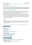#### myvenue.gr

Team representative: Ekaterini-Chrisoula Mihalitsianou

#### Objective – Description of Proposal

- A powerful online tool that aspires to meet the needs of conference and event organizers, owners of various installations and venues, and any person within or outside Greece intending to organize events in the country.
- As the first and most complete online tool to find and capture facilities, myvenue. gr aims at the improvement and development of business tourism in Greece.
- myvenue.gr is a bilingual tool that offers direct access, comparison and analysis of sites and destinations, based on the criteria of the organizer, maximizing the effectiveness of the search.

#### Innovation

• A plethora of intelligent tools allow the user to be fully informed and to perform indepth comparisons of sites, contributing evaluations and networking with other interested parties.

#### Advantages – Benefits

For the user

- Create a personal account
- Manage facilities
- Take notes
- Create favorites list
- Send more than one request at the same time

#### For the administrator

- Gain immediacy in booking management
- Manage sites better and more flexibly
- Watch the competition closely
- Easily acquire critical statistics

- Cooperation with local bodies
- Support and cooperation with the Ministry of Tourism and Culture
- Financial reinforcement
- Automation of collecting information from facility owners
- Training of facility owners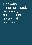Innovation is not absolutely necessary, but then neither is survival.

—Andrew Papageorge